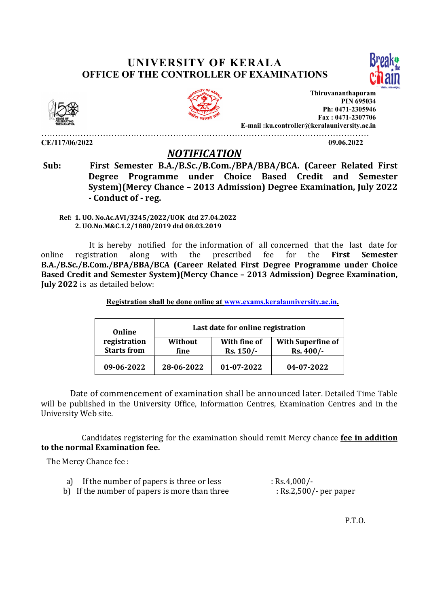## UNIVERSITY OF KERALA OFFICE OF THE CONTROLLER OF EXAMINATIONS





CE/117/06/2022 09.06.2022



Thiruvananthapuram PIN 695034 Ph: 0471-2305946 Fax : 0471-2307706 E-mail :ku.controller@keralauniversity.ac.in

## NOTIFICATION

 Sub: First Semester B.A./B.Sc./B.Com./BPA/BBA/BCA. (Career Related First Degree Programme under Choice Based Credit and Semester System)(Mercy Chance – 2013 Admission) Degree Examination, July 2022 - Conduct of - reg.

………………………………………………………………………………………………………

 Ref: 1. UO. No.Ac.AVI/3245/2022/UOK dtd 27.04.2022 2. UO.No.M&C.1.2/1880/2019 dtd 08.03.2019

 It is hereby notified for the information of all concerned that the last date for online registration along with the prescribed fee for the First Semester B.A./B.Sc./B.Com./BPA/BBA/BCA (Career Related First Degree Programme under Choice Based Credit and Semester System)(Mercy Chance – 2013 Admission) Degree Examination, July 2022 is as detailed below:

Registration shall be done online at www.exams.keralauniversity.ac.in.

| Online<br>registration<br><b>Starts from</b> | Last date for online registration |                             |                                        |
|----------------------------------------------|-----------------------------------|-----------------------------|----------------------------------------|
|                                              | Without<br>fine                   | With fine of<br>$Rs. 150/-$ | <b>With Superfine of</b><br>$Rs.400/-$ |
| 09-06-2022                                   | 28-06-2022                        | 01-07-2022                  | 04-07-2022                             |

 Date of commencement of examination shall be announced later. Detailed Time Table will be published in the University Office, Information Centres, Examination Centres and in the University Web site.

 Candidates registering for the examination should remit Mercy chance fee in addition to the normal Examination fee.

The Mercy Chance fee :

| a) If the number of papers is three or less   | : Rs.4,000/-            |
|-----------------------------------------------|-------------------------|
| b) If the number of papers is more than three | $Rs.2,500/$ - per paper |

P.T.O.